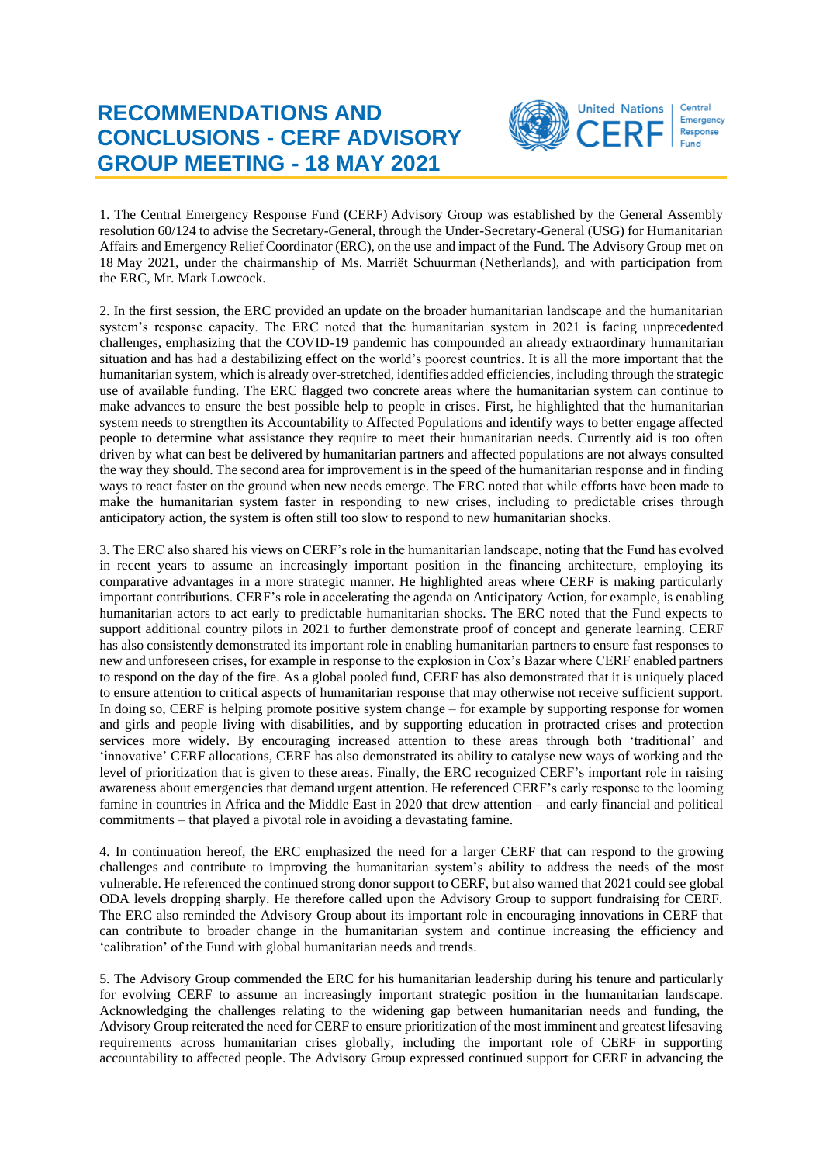## **RECOMMENDATIONS AND CONCLUSIONS - CERF ADVISORY GROUP MEETING - 18 MAY 2021**



1. The Central Emergency Response Fund (CERF) Advisory Group was established by the General Assembly resolution 60/124 to advise the Secretary-General, through the Under-Secretary-General (USG) for Humanitarian Affairs and Emergency Relief Coordinator (ERC), on the use and impact of the Fund. The Advisory Group met on 18 May 2021, under the chairmanship of Ms. Marriët Schuurman (Netherlands), and with participation from the ERC, Mr. Mark Lowcock.

2. In the first session, the ERC provided an update on the broader humanitarian landscape and the humanitarian system's response capacity. The ERC noted that the humanitarian system in 2021 is facing unprecedented challenges, emphasizing that the COVID-19 pandemic has compounded an already extraordinary humanitarian situation and has had a destabilizing effect on the world's poorest countries. It is all the more important that the humanitarian system, which is already over-stretched, identifies added efficiencies, including through the strategic use of available funding. The ERC flagged two concrete areas where the humanitarian system can continue to make advances to ensure the best possible help to people in crises. First, he highlighted that the humanitarian system needs to strengthen its Accountability to Affected Populations and identify ways to better engage affected people to determine what assistance they require to meet their humanitarian needs. Currently aid is too often driven by what can best be delivered by humanitarian partners and affected populations are not always consulted the way they should. The second area for improvement is in the speed of the humanitarian response and in finding ways to react faster on the ground when new needs emerge. The ERC noted that while efforts have been made to make the humanitarian system faster in responding to new crises, including to predictable crises through anticipatory action, the system is often still too slow to respond to new humanitarian shocks.

3. The ERC also shared his views on CERF's role in the humanitarian landscape, noting that the Fund has evolved in recent years to assume an increasingly important position in the financing architecture, employing its comparative advantages in a more strategic manner. He highlighted areas where CERF is making particularly important contributions. CERF's role in accelerating the agenda on Anticipatory Action, for example, is enabling humanitarian actors to act early to predictable humanitarian shocks. The ERC noted that the Fund expects to support additional country pilots in 2021 to further demonstrate proof of concept and generate learning. CERF has also consistently demonstrated its important role in enabling humanitarian partners to ensure fast responses to new and unforeseen crises, for example in response to the explosion in Cox's Bazar where CERF enabled partners to respond on the day of the fire. As a global pooled fund, CERF has also demonstrated that it is uniquely placed to ensure attention to critical aspects of humanitarian response that may otherwise not receive sufficient support. In doing so, CERF is helping promote positive system change – for example by supporting response for women and girls and people living with disabilities, and by supporting education in protracted crises and protection services more widely. By encouraging increased attention to these areas through both 'traditional' and 'innovative' CERF allocations, CERF has also demonstrated its ability to catalyse new ways of working and the level of prioritization that is given to these areas. Finally, the ERC recognized CERF's important role in raising awareness about emergencies that demand urgent attention. He referenced CERF's early response to the looming famine in countries in Africa and the Middle East in 2020 that drew attention – and early financial and political commitments – that played a pivotal role in avoiding a devastating famine.

4. In continuation hereof, the ERC emphasized the need for a larger CERF that can respond to the growing challenges and contribute to improving the humanitarian system's ability to address the needs of the most vulnerable. He referenced the continued strong donor support to CERF, but also warned that 2021 could see global ODA levels dropping sharply. He therefore called upon the Advisory Group to support fundraising for CERF. The ERC also reminded the Advisory Group about its important role in encouraging innovations in CERF that can contribute to broader change in the humanitarian system and continue increasing the efficiency and 'calibration' of the Fund with global humanitarian needs and trends.

5. The Advisory Group commended the ERC for his humanitarian leadership during his tenure and particularly for evolving CERF to assume an increasingly important strategic position in the humanitarian landscape. Acknowledging the challenges relating to the widening gap between humanitarian needs and funding, the Advisory Group reiterated the need for CERF to ensure prioritization of the most imminent and greatest lifesaving requirements across humanitarian crises globally, including the important role of CERF in supporting accountability to affected people. The Advisory Group expressed continued support for CERF in advancing the